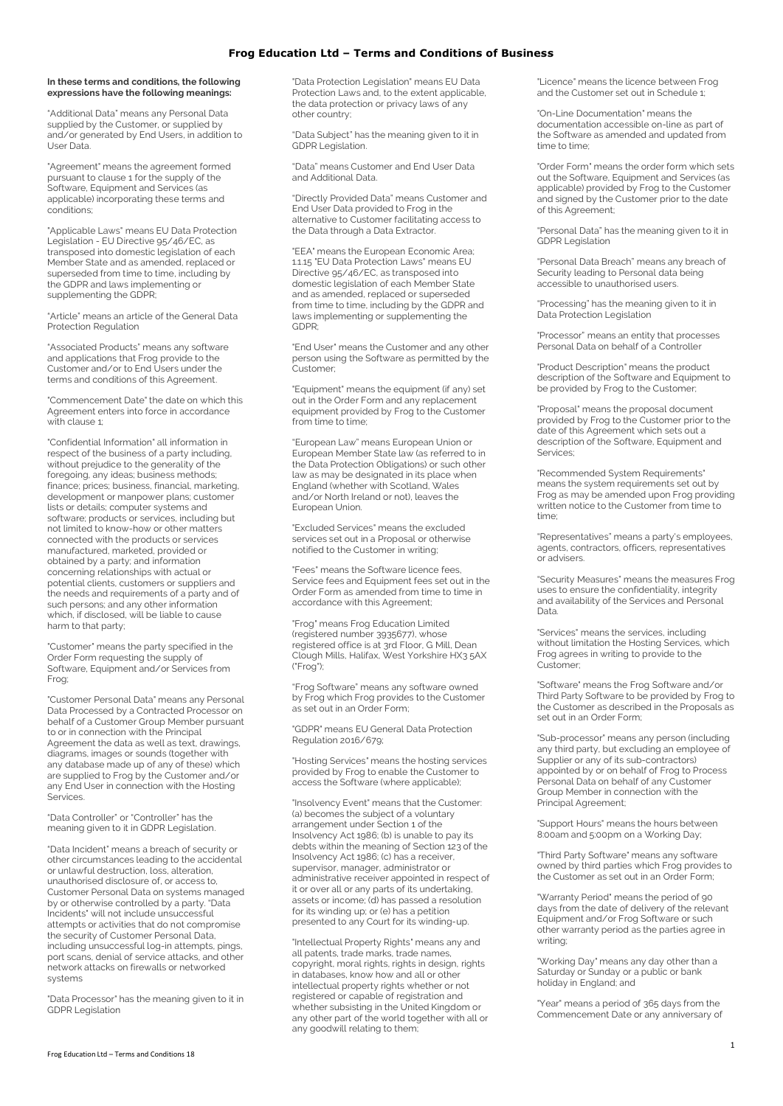### **In these terms and conditions, the following expressions have the following meanings:**

"Additional Data" means any Personal Data supplied by the Customer, or supplied by and/or generated by End Users, in addition to User Data.

"Agreement" means the agreement formed pursuant to clause 1 for the supply of the Software, Equipment and Services (as applicable) incorporating these terms and conditions;

"Applicable Laws" means EU Data Protection Legislation - EU Directive 95/46/EC, as transposed into domestic legislation of each Member State and as amended, replaced or superseded from time to time, including by the GDPR and laws implementing or supplementing the GDPR;

"Article" means an article of the General Data Protection Regulation

"Associated Products" means any software and applications that Frog provide to the Customer and/or to End Users under the terms and conditions of this Agreement.

"Commencement Date" the date on which this Agreement enters into force in accordance with clause 1:

"Confidential Information" all information in respect of the business of a party including, without prejudice to the generality of the foregoing, any ideas; business methods; finance; prices; business, financial, marketing, development or manpower plans; customer lists or details; computer systems and software; products or services, including but not limited to know-how or other matters connected with the products or services manufactured, marketed, provided or obtained by a party; and information concerning relationships with actual or potential clients, customers or suppliers and the needs and requirements of a party and of such persons; and any other information which, if disclosed, will be liable to cause harm to that party;

"Customer" means the party specified in the Order Form requesting the supply of Software, Equipment and/or Services from Frog;

"Customer Personal Data" means any Personal Data Processed by a Contracted Processor on behalf of a Customer Group Member pursuant to or in connection with the Principal Agreement the data as well as text, drawings, diagrams, images or sounds (together with any database made up of any of these) which are supplied to Frog by the Customer and/or<br>any End Hearing to Trade when the Customer and/or any End User in connection with the Hosting **Services** 

"Data Controller" or "Controller" has the meaning given to it in GDPR Legislation.

"Data Incident" means a breach of security or other circumstances leading to the accidental or unlawful destruction, loss, alteration, unauthorised disclosure of, or access to, Customer Personal Data on systems managed by or otherwise controlled by a party. "Data Incidents" will not include unsuccessful attempts or activities that do not compromise the security of Customer Personal Data, including unsuccessful log-in attempts, pings, port scans, denial of service attacks, and other network attacks on firewalls or networked systems

"Data Processor" has the meaning given to it in GDPR Legislation

"Data Protection Legislation" means EU Data Protection Laws and, to the extent applicable, the data protection or privacy laws of any other country;

"Data Subject" has the meaning given to it in GDPR Legislation.

"Data" means Customer and End User Data and Additional Data.

"Directly Provided Data" means Customer and End User Data provided to Frog in the alternative to Customer facilitating access to the Data through a Data Extractor.

"EEA" means the European Economic Area; 1.1.15 "EU Data Protection Laws" means EU Directive 95/46/EC, as transposed into domestic legislation of each Member State and as amended, replaced or superseded from time to time, including by the GDPR and laws implementing or supplementing the GDPR;

"End User" means the Customer and any other person using the Software as permitted by the .<br>Customer:

"Equipment" means the equipment (if any) set out in the Order Form and any replacement equipment provided by Frog to the Customer from time to time:

"European Law" means European Union or European Member State law (as referred to in the Data Protection Obligations) or such other law as may be designated in its place when England (whether with Scotland, Wales and/or North Ireland or not), leaves the European Union.

"Excluded Services" means the excluded services set out in a Proposal or otherwise notified to the Customer in writing;

"Fees" means the Software licence fees, Service fees and Equipment fees set out in the Order Form as amended from time to time in accordance with this Agreement;

"Frog" means Frog Education Limited (registered number 3935677), whose registered office is at 3rd Floor, G Mill, Dean Clough Mills, Halifax, West Yorkshire HX3 5AX ("Frog");

"Frog Software" means any software owned by Frog which Frog provides to the Customer as set out in an Order Form;

"GDPR" means EU General Data Protection Regulation 2016/679;

"Hosting Services" means the hosting services provided by Frog to enable the Customer to access the Software (where applicable);

"Insolvency Event" means that the Customer: (a) becomes the subject of a voluntary arrangement under Section 1 of the Insolvency Act 1986; (b) is unable to pay its debts within the meaning of Section 123 of the Insolvency Act 1986; (c) has a receiver, supervisor, manager, administrator or administrative receiver appointed in respect of it or over all or any parts of its undertaking, assets or income; (d) has passed a resolution for its winding up; or (e) has a petition presented to any Court for its winding-up.

"Intellectual Property Rights" means any and all patents, trade marks, trade names, copyright, moral rights, rights in design, rights in databases, know how and all or other intellectual property rights whether or not registered or capable of registration and whether subsisting in the United Kingdom or any other part of the world together with all or any goodwill relating to them;

"Licence" means the licence between Frog and the Customer set out in Schedule 1;

"On-Line Documentation" means the documentation accessible on-line as part of the Software as amended and updated from time to time;

"Order Form" means the order form which sets out the Software, Equipment and Services (as applicable) provided by Frog to the Customer and signed by the Customer prior to the date of this Agreement;

"Personal Data" has the meaning given to it in GDPR Legislation

"Personal Data Breach" means any breach of Security leading to Personal data being accessible to unauthorised users.

"Processing" has the meaning given to it in Data Protection Legislation

"Processor" means an entity that processes Personal Data on behalf of a Controller

"Product Description" means the product description of the Software and Equipment to be provided by Frog to the Customer;

"Proposal" means the proposal document provided by Frog to the Customer prior to the date of this Agreement which sets out a description of the Software, Equipment and Services;

"Recommended System Requirements" means the system requirements set out by Frog as may be amended upon Frog providing written notice to the Customer from time to time;

"Representatives" means a party's employees, agents, contractors, officers, representatives or advisers.

"Security Measures" means the measures Frog uses to ensure the confidentiality, integrity and availability of the Services and Personal Data.

"Services" means the services, including without limitation the Hosting Services, which Frog agrees in writing to provide to the Customer;

"Software" means the Frog Software and/or Third Party Software to be provided by Frog to the Customer as described in the Proposals as set out in an Order Form;

"Sub-processor" means any person (including any third party, but excluding an employee of Supplier or any of its sub-contractors) appointed by or on behalf of Frog to Process Personal Data on behalf of any Customer Group Member in connection with the Principal Agreement;

"Support Hours" means the hours between 8:00am and 5:00pm on a Working Day;

"Third Party Software" means any software owned by third parties which Frog provides to the Customer as set out in an Order Form;

"Warranty Period" means the period of 90 days from the date of delivery of the relevant Equipment and/or Frog Software or such other warranty period as the parties agree in writing;

"Working Day" means any day other than a Saturday or Sunday or a public or bank holiday in England; and

"Year" means a period of 365 days from the Commencement Date or any anniversary of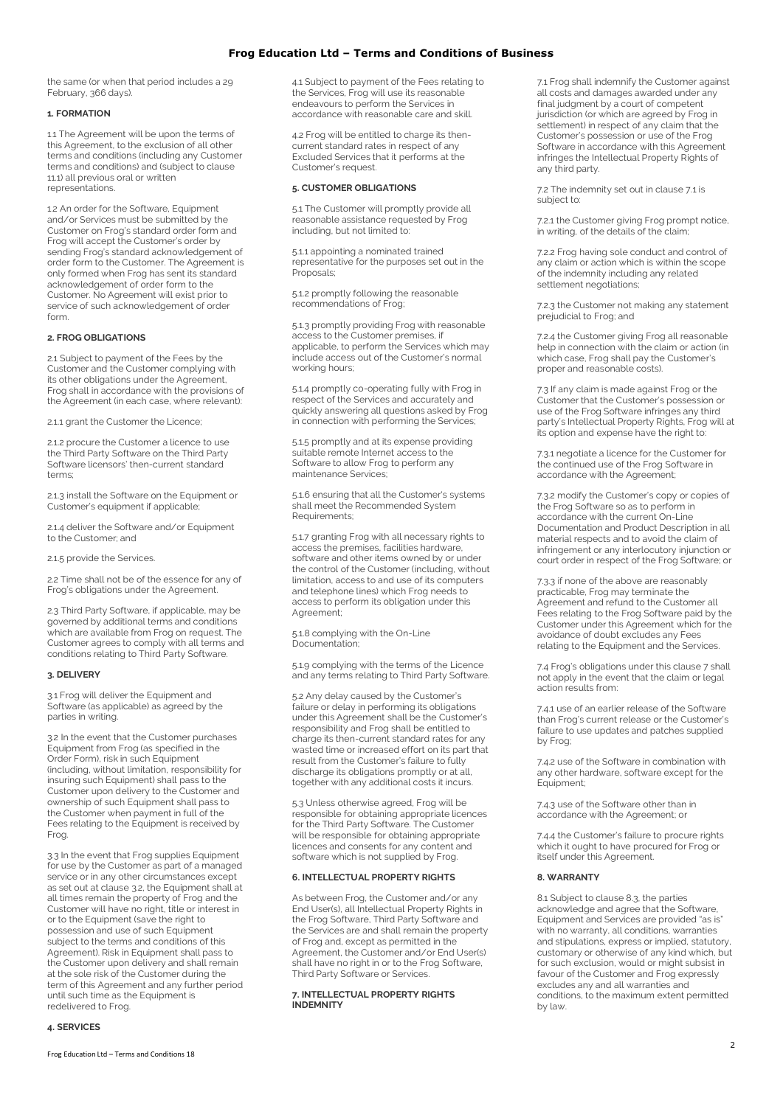the same (or when that period includes a 29 February, 366 days).

### **1. FORMATION**

1.1 The Agreement will be upon the terms of this Agreement, to the exclusion of all other terms and conditions (including any Customer terms and conditions) and (subject to clause 11.1) all previous oral or written representations.

1.2 An order for the Software, Equipment and/or Services must be submitted by the Customer on Frog's standard order form and Frog will accept the Customer's order by sending Frog's standard acknowledgement of order form to the Customer. The Agreement is only formed when Frog has sent its standard acknowledgement of order form to the Customer. No Agreement will exist prior to service of such acknowledgement of order form.

# **2. FROG OBLIGATIONS**

2.1 Subject to payment of the Fees by the Customer and the Customer complying with its other obligations under the Agreement, Frog shall in accordance with the provisions of the Agreement (in each case, where relevant):

2.1.1 grant the Customer the Licence;

2.1.2 procure the Customer a licence to use the Third Party Software on the Third Party Software licensors' then-current standard terms;

2.1.3 install the Software on the Equipment or Customer's equipment if applicable;

2.1.4 deliver the Software and/or Equipment to the Customer; and

2.1.5 provide the Services.

2.2 Time shall not be of the essence for any of Frog's obligations under the Agreement.

2.3 Third Party Software, if applicable, may be governed by additional terms and conditions which are available from Frog on request. The Customer agrees to comply with all terms and conditions relating to Third Party Software.

#### **3. DELIVERY**

3.1 Frog will deliver the Equipment and Software (as applicable) as agreed by the parties in writing.

3.2 In the event that the Customer purchases Equipment from Frog (as specified in the Order Form), risk in such Equipment (including, without limitation, responsibility for insuring such Equipment) shall pass to the Customer upon delivery to the Customer and ownership of such Equipment shall pass to the Customer when payment in full of the Fees relating to the Equipment is received by Frog.

3.3 In the event that Frog supplies Equipment for use by the Customer as part of a managed service or in any other circumstances except as set out at clause 3.2, the Equipment shall at all times remain the property of Frog and the Customer will have no right, title or interest in or to the Equipment (save the right to possession and use of such Equipment subject to the terms and conditions of this Agreement). Risk in Equipment shall pass to the Customer upon delivery and shall remain at the sole risk of the Customer during the term of this Agreement and any further period until such time as the Equipment is redelivered to Frog.

4.1 Subject to payment of the Fees relating to the Services, Frog will use its reasonable endeavours to perform the Services in accordance with reasonable care and skill.

4.2 Frog will be entitled to charge its thencurrent standard rates in respect of any Excluded Services that it performs at the Customer's request.

### **5. CUSTOMER OBLIGATIONS**

5.1 The Customer will promptly provide all reasonable assistance requested by Frog including, but not limited to:

5.1.1 appointing a nominated trained representative for the purposes set out in the Proposals;

5.1.2 promptly following the reasonable recommendations of Frog;

5.1.3 promptly providing Frog with reasonable access to the Customer premises, if applicable, to perform the Services which may include access out of the Customer's normal working hours;

5.1.4 promptly co-operating fully with Frog in respect of the Services and accurately and quickly answering all questions asked by Frog in connection with performing the Services;

5.1.5 promptly and at its expense providing suitable remote Internet access to the Software to allow Frog to perform any maintenance Services;

5.1.6 ensuring that all the Customer's systems shall meet the Recommended System Requirements;

5.1.7 granting Frog with all necessary rights to access the premises, facilities hardware, software and other items owned by or under the control of the Customer (including, without limitation, access to and use of its computers and telephone lines) which Frog needs to access to perform its obligation under this Agreement:

5.1.8 complying with the On-Line Documentation;

5.1.9 complying with the terms of the Licence and any terms relating to Third Party Software.

5.2 Any delay caused by the Customer's failure or delay in performing its obligations under this Agreement shall be the Customer's responsibility and Frog shall be entitled to charge its then-current standard rates for any wasted time or increased effort on its part that result from the Customer's failure to fully discharge its obligations promptly or at all, together with any additional costs it incurs.

5.3 Unless otherwise agreed, Frog will be responsible for obtaining appropriate licences for the Third Party Software. The Customer will be responsible for obtaining appropriate licences and consents for any content and software which is not supplied by Frog.

#### **6. INTELLECTUAL PROPERTY RIGHTS**

As between Frog, the Customer and/or any End User(s), all Intellectual Property Rights in the Frog Software, Third Party Software and the Services are and shall remain the property of Frog and, except as permitted in the Agreement, the Customer and/or End User(s) shall have no right in or to the Frog Software, Third Party Software or Services.

### **7. INTELLECTUAL PROPERTY RIGHTS INDEMNITY**

7.1 Frog shall indemnify the Customer against all costs and damages awarded under any final judgment by a court of competent jurisdiction (or which are agreed by Frog in settlement) in respect of any claim that the Customer's possession or use of the Frog Software in accordance with this Agreement infringes the Intellectual Property Rights of any third party.

7.2 The indemnity set out in clause 7.1 is subject to:

7.2.1 the Customer giving Frog prompt notice, in writing, of the details of the claim;

7.2.2 Frog having sole conduct and control of any claim or action which is within the scope of the indemnity including any related settlement negotiations;

7.2.3 the Customer not making any statement prejudicial to Frog; and

7.2.4 the Customer giving Frog all reasonable help in connection with the claim or action (in which case, Frog shall pay the Customer's proper and reasonable costs).

7.3 If any claim is made against Frog or the Customer that the Customer's possession or use of the Frog Software infringes any third party's Intellectual Property Rights, Frog will at its option and expense have the right to:

7.3.1 negotiate a licence for the Customer for the continued use of the Frog Software in accordance with the Agreement;

7.3.2 modify the Customer's copy or copies of the Frog Software so as to perform in accordance with the current On-Line Documentation and Product Description in all material respects and to avoid the claim of infringement or any interlocutory injunction or court order in respect of the Frog Software; or

7.3.3 if none of the above are reasonably practicable, Frog may terminate the Agreement and refund to the Customer all Fees relating to the Frog Software paid by the Customer under this Agreement which for the avoidance of doubt excludes any Fees relating to the Equipment and the Services.

7.4 Frog's obligations under this clause 7 shall not apply in the event that the claim or legal action results from:

7.4.1 use of an earlier release of the Software than Frog's current release or the Customer's failure to use updates and patches supplied by Frog;

7.4.2 use of the Software in combination with any other hardware, software except for the Equipment;

7.4.3 use of the Software other than in accordance with the Agreement; or

7.4.4 the Customer's failure to procure rights which it ought to have procured for Frog or itself under this Agreement.

## **8. WARRANTY**

8.1 Subject to clause 8.3, the parties acknowledge and agree that the Software, Equipment and Services are provided "as is" with no warranty, all conditions, warranties and stipulations, express or implied, statutory, customary or otherwise of any kind which, but for such exclusion, would or might subsist in favour of the Customer and Frog expressly excludes any and all warranties and conditions, to the maximum extent permitted by law.

**4. SERVICES**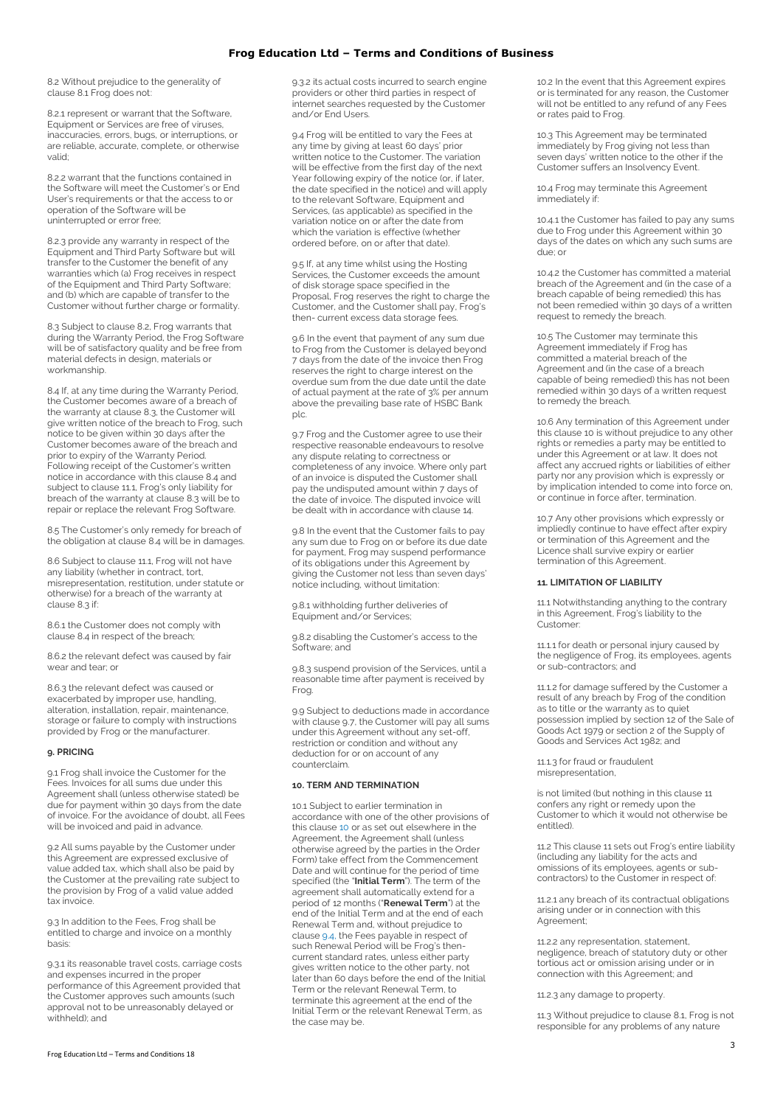8.2 Without prejudice to the generality of clause 8.1 Frog does not:

8.2.1 represent or warrant that the Software, Equipment or Services are free of viruses, inaccuracies, errors, bugs, or interruptions, or are reliable, accurate, complete, or otherwise valid;

8.2.2 warrant that the functions contained in the Software will meet the Customer's or End User's requirements or that the access to or operation of the Software will be uninterrupted or error free;

8.2.3 provide any warranty in respect of the Equipment and Third Party Software but will transfer to the Customer the benefit of any warranties which (a) Frog receives in respect of the Equipment and Third Party Software; and (b) which are capable of transfer to the Customer without further charge or formality.

8.3 Subject to clause 8.2, Frog warrants that during the Warranty Period, the Frog Software will be of satisfactory quality and be free from material defects in design, materials or workmanship.

8.4 If, at any time during the Warranty Period, the Customer becomes aware of a breach of the warranty at clause 8.3, the Customer will give written notice of the breach to Frog, such notice to be given within 30 days after the Customer becomes aware of the breach and prior to expiry of the Warranty Period. Following receipt of the Customer's written notice in accordance with this clause 8.4 and subject to clause 11.1, Frog's only liability for breach of the warranty at clause 8.3 will be to repair or replace the relevant Frog Software.

8.5 The Customer's only remedy for breach of the obligation at clause 8.4 will be in damages.

8.6 Subject to clause 11.1, Frog will not have any liability (whether in contract, tort, misrepresentation, restitution, under statute or otherwise) for a breach of the warranty at clause 8.3 if:

8.6.1 the Customer does not comply with clause 8.4 in respect of the breach;

8.6.2 the relevant defect was caused by fair wear and tear; or

8.6.3 the relevant defect was caused or exacerbated by improper use, handling, alteration, installation, repair, maintenance, storage or failure to comply with instructions provided by Frog or the manufacturer.

### **9. PRICING**

9.1 Frog shall invoice the Customer for the Fees. Invoices for all sums due under this Agreement shall (unless otherwise stated) be due for payment within 30 days from the date of invoice. For the avoidance of doubt, all Fees will be invoiced and paid in advance.

9.2 All sums payable by the Customer under this Agreement are expressed exclusive of value added tax, which shall also be paid by the Customer at the prevailing rate subject to the provision by Frog of a valid value added tax invoice.

9.3 In addition to the Fees, Frog shall be entitled to charge and invoice on a monthly basis:

9.3.1 its reasonable travel costs, carriage costs and expenses incurred in the proper performance of this Agreement provided that the Customer approves such amounts (such approval not to be unreasonably delayed or withheld); and

9.3.2 its actual costs incurred to search engine providers or other third parties in respect of internet searches requested by the Customer and/or End Users.

9.4 Frog will be entitled to vary the Fees at any time by giving at least 60 days' prior written notice to the Customer. The variation will be effective from the first day of the next Year following expiry of the notice (or, if later, the date specified in the notice) and will apply to the relevant Software, Equipment and Services, (as applicable) as specified in the variation notice on or after the date from which the variation is effective (whether ordered before, on or after that date).

9.5 If, at any time whilst using the Hosting Services, the Customer exceeds the amount of disk storage space specified in the Proposal, Frog reserves the right to charge the Customer, and the Customer shall pay, Frog's then- current excess data storage fees.

9.6 In the event that payment of any sum due to Frog from the Customer is delayed beyond 7 days from the date of the invoice then Frog reserves the right to charge interest on the overdue sum from the due date until the date of actual payment at the rate of 3% per annum above the prevailing base rate of HSBC Bank plc.

9.7 Frog and the Customer agree to use their respective reasonable endeavours to resolve any dispute relating to correctness or completeness of any invoice. Where only part of an invoice is disputed the Customer shall pay the undisputed amount within 7 days of the date of invoice. The disputed invoice will be dealt with in accordance with clause 14.

9.8 In the event that the Customer fails to pay any sum due to Frog on or before its due date for payment, Frog may suspend performance of its obligations under this Agreement by giving the Customer not less than seven days' notice including, without limitation:

9.8.1 withholding further deliveries of Equipment and/or Services;

9.8.2 disabling the Customer's access to the Software; and

9.8.3 suspend provision of the Services, until a reasonable time after payment is received by Frog.

9.9 Subject to deductions made in accordance with clause 9.7, the Customer will pay all sums under this Agreement without any set-off, restriction or condition and without any deduction for or on account of any counterclaim.

#### **10. TERM AND TERMINATION**

10.1 Subject to earlier termination in accordance with one of the other provisions of this clause [10](https://www.frogeducation.com/websiteinformation/terms-and-conditions#_bookmark11) or as set out elsewhere in the Agreement, the Agreement shall (unless otherwise agreed by the parties in the Order Form) take effect from the Commencement Date and will continue for the period of time specified (the "**Initial Term**"). The term of the agreement shall automatically extend for a period of 12 months ("**Renewal Term**") at the end of the Initial Term and at the end of each Renewal Term and, without prejudice to clause [9.4,](https://www.frogeducation.com/websiteinformation/terms-and-conditions#_bookmark9) the Fees payable in respect of such Renewal Period will be Frog's thencurrent standard rates, unless either party gives written notice to the other party, not later than 60 days before the end of the Initial Term or the relevant Renewal Term, to terminate this agreement at the end of the Initial Term or the relevant Renewal Term, as the case may be.

10.2 In the event that this Agreement expires or is terminated for any reason, the Customer will not be entitled to any refund of any Fees or rates paid to Frog.

10.3 This Agreement may be terminated immediately by Frog giving not less than seven days' written notice to the other if the Customer suffers an Insolvency Event.

10.4 Frog may terminate this Agreement immediately if:

10.4.1 the Customer has failed to pay any sums due to Frog under this Agreement within 30 days of the dates on which any such sums are due; or

10.4.2 the Customer has committed a material breach of the Agreement and (in the case of a breach capable of being remedied) this has not been remedied within 30 days of a written request to remedy the breach.

10.5 The Customer may terminate this Agreement immediately if Frog has committed a material breach of the Agreement and (in the case of a breach capable of being remedied) this has not been remedied within 30 days of a written request to remedy the breach.

10.6 Any termination of this Agreement under this clause 10 is without prejudice to any other rights or remedies a party may be entitled to under this Agreement or at law. It does not affect any accrued rights or liabilities of either party nor any provision which is expressly or by implication intended to come into force on, or continue in force after, termination.

10.7 Any other provisions which expressly or impliedly continue to have effect after expiry or termination of this Agreement and the Licence shall survive expiry or earlier termination of this Agreement.

#### **11. LIMITATION OF LIABILITY**

11.1 Notwithstanding anything to the contrary in this Agreement, Frog's liability to the Customer:

11.1.1 for death or personal injury caused by the negligence of Frog, its employees, agents or sub-contractors; and

11.1.2 for damage suffered by the Customer a result of any breach by Frog of the condition as to title or the warranty as to quiet possession implied by section 12 of the Sale of Goods Act 1979 or section 2 of the Supply of Goods and Services Act 1982; and

11.1.3 for fraud or fraudulent misrepresentation,

is not limited (but nothing in this clause 11 confers any right or remedy upon the Customer to which it would not otherwise be entitled).

11.2 This clause 11 sets out Frog's entire liability (including any liability for the acts and omissions of its employees, agents or subcontractors) to the Customer in respect of:

11.2.1 any breach of its contractual obligations arising under or in connection with this Agreement;

11.2.2 any representation, statement, negligence, breach of statutory duty or other tortious act or omission arising under or in connection with this Agreement; and

11.2.3 any damage to property.

11.3 Without prejudice to clause 8.1, Frog is not responsible for any problems of any nature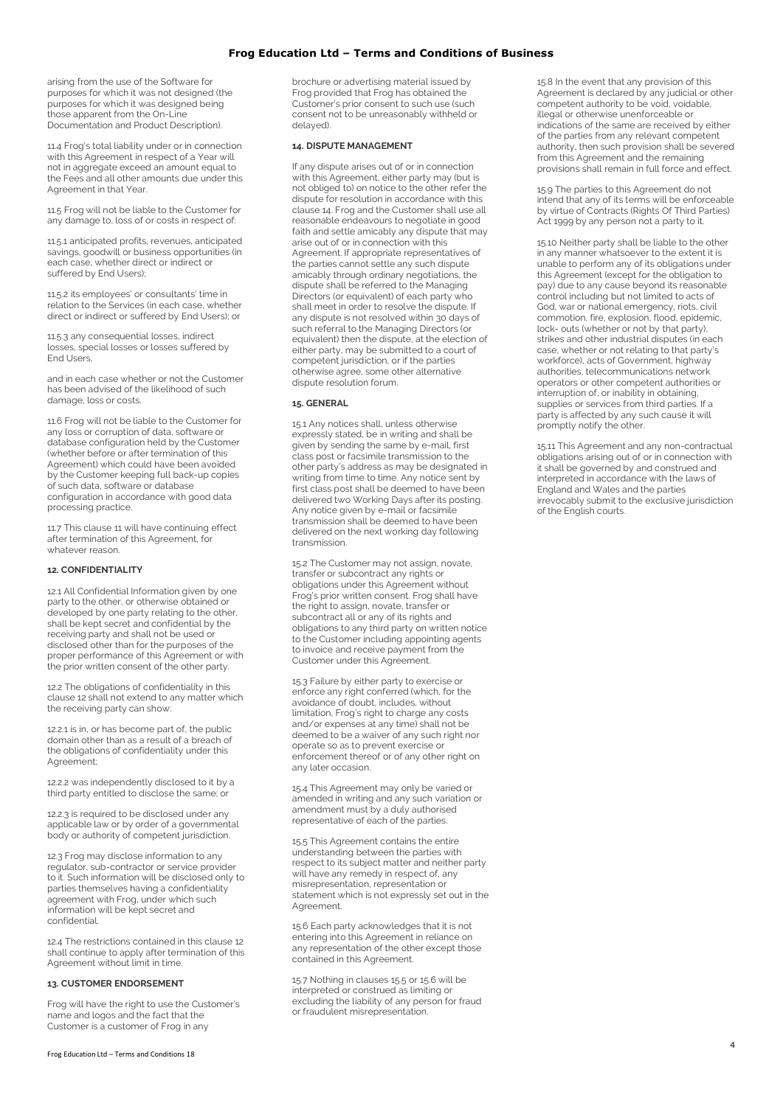arising from the use of the Software for purposes for which it was not designed (the purposes for which it was designed being those apparent from the On-Line Documentation and Product Description).

11.4 Frog's total liability under or in connection with this Agreement in respect of a Year will not in aggregate exceed an amount equal to the Fees and all other amounts due under this Agreement in that Year.

11.5 Frog will not be liable to the Customer for any damage to, loss of or costs in respect of:

11.5.1 anticipated profits, revenues, anticipated savings, goodwill or business opportunities (in each case, whether direct or indirect or suffered by End Users);

11.5.2 its employees' or consultants' time in relation to the Services (in each case, whether direct or indirect or suffered by End Users); or

11.5.3 any consequential losses, indirect losses, special losses or losses suffered by End Users,

and in each case whether or not the Customer has been advised of the likelihood of such damage, loss or costs.

11.6 Frog will not be liable to the Customer for any loss or corruption of data, software or database configuration held by the Customer (whether before or after termination of this Agreement) which could have been avoided by the Customer keeping full back-up copies of such data, software or database configuration in accordance with good data processing practice.

11.7 This clause 11 will have continuing effect after termination of this Agreement, for whatever reason.

## **12. CONFIDENTIALITY**

12.1 All Confidential Information given by one party to the other, or otherwise obtained or developed by one party relating to the other, shall be kept secret and confidential by the receiving party and shall not be used or disclosed other than for the purposes of the proper performance of this Agreement or with the prior written consent of the other party.

12.2 The obligations of confidentiality in this clause 12 shall not extend to any matter which the receiving party can show:

12.2.1 is in, or has become part of, the public domain other than as a result of a breach of the obligations of confidentiality under this Agreement;

12.2.2 was independently disclosed to it by a third party entitled to disclose the same; or

12.2.3 is required to be disclosed under any applicable law or by order of a governmental body or authority of competent jurisdiction.

12.3 Frog may disclose information to any regulator, sub-contractor or service provider to it. Such information will be disclosed only to parties themselves having a confidentiality agreement with Frog, under which such information will be kept secret and confidential.

12.4 The restrictions contained in this clause 12 shall continue to apply after termination of this Agreement without limit in time.

#### **13. CUSTOMER ENDORSEMENT**

Frog will have the right to use the Customer's name and logos and the fact that the Customer is a customer of Frog in any

brochure or advertising material issued by Frog provided that Frog has obtained the Customer's prior consent to such use (such consent not to be unreasonably withheld or delayed).

### **14. DISPUTE MANAGEMENT**

If any dispute arises out of or in connection with this Agreement, either party may (but is not obliged to) on notice to the other refer the dispute for resolution in accordance with this clause 14. Frog and the Customer shall use all reasonable endeavours to negotiate in good faith and settle amicably any dispute that may arise out of or in connection with this Agreement. If appropriate representatives of the parties cannot settle any such dispute amicably through ordinary negotiations, the dispute shall be referred to the Managing Directors (or equivalent) of each party who shall meet in order to resolve the dispute. If any dispute is not resolved within 30 days of such referral to the Managing Directors (or equivalent) then the dispute, at the election of either party, may be submitted to a court of competent jurisdiction, or if the parties otherwise agree, some other alternative dispute resolution forum.

#### **15. GENERAL**

15.1 Any notices shall, unless otherwise expressly stated, be in writing and shall be given by sending the same by e-mail, first class post or facsimile transmission to the other party's address as may be designated in writing from time to time. Any notice sent by first class post shall be deemed to have been delivered two Working Days after its posting. Any notice given by e-mail or facsimile transmission shall be deemed to have been delivered on the next working day following transmission.

15.2 The Customer may not assign, novate, transfer or subcontract any rights or obligations under this Agreement without Frog's prior written consent. Frog shall have the right to assign, novate, transfer or subcontract all or any of its rights and obligations to any third party on written notice to the Customer including appointing agents to invoice and receive payment from the Customer under this Agreement.

15.3 Failure by either party to exercise or enforce any right conferred (which, for the avoidance of doubt, includes, without limitation, Frog's right to charge any costs and/or expenses at any time) shall not be deemed to be a waiver of any such right nor operate so as to prevent exercise or enforcement thereof or of any other right on any later occasion.

15.4 This Agreement may only be varied or amended in writing and any such variation or amendment must by a duly authorised representative of each of the parties.

15.5 This Agreement contains the entire understanding between the parties with respect to its subject matter and neither party will have any remedy in respect of, any misrepresentation, representation or statement which is not expressly set out in the Agreement.

15.6 Each party acknowledges that it is not entering into this Agreement in reliance on any representation of the other except those contained in this Agreement.

15.7 Nothing in clauses 15.5 or 15.6 will be interpreted or construed as limiting or excluding the liability of any person for fraud or fraudulent misrepresentation.

15.8 In the event that any provision of this Agreement is declared by any judicial or other competent authority to be void, voidable, illegal or otherwise unenforceable or indications of the same are received by either of the parties from any relevant competent authority, then such provision shall be severed from this Agreement and the remaining provisions shall remain in full force and effect.

15.9 The parties to this Agreement do not intend that any of its terms will be enforceable by virtue of Contracts (Rights Of Third Parties) Act 1999 by any person not a party to it.

15.10 Neither party shall be liable to the other in any manner whatsoever to the extent it is unable to perform any of its obligations under this Agreement (except for the obligation to pay) due to any cause beyond its reasonable control including but not limited to acts of God, war or national emergency, riots, civil commotion, fire, explosion, flood, epidemic, lock- outs (whether or not by that party), strikes and other industrial disputes (in each case, whether or not relating to that party's workforce), acts of Government, highway authorities, telecommunications network operators or other competent authorities or interruption of, or inability in obtaining, supplies or services from third parties. If a party is affected by any such cause it will promptly notify the other.

15.11 This Agreement and any non-contractual obligations arising out of or in connection with it shall be governed by and construed and interpreted in accordance with the laws of England and Wales and the parties irrevocably submit to the exclusive jurisdiction of the English courts.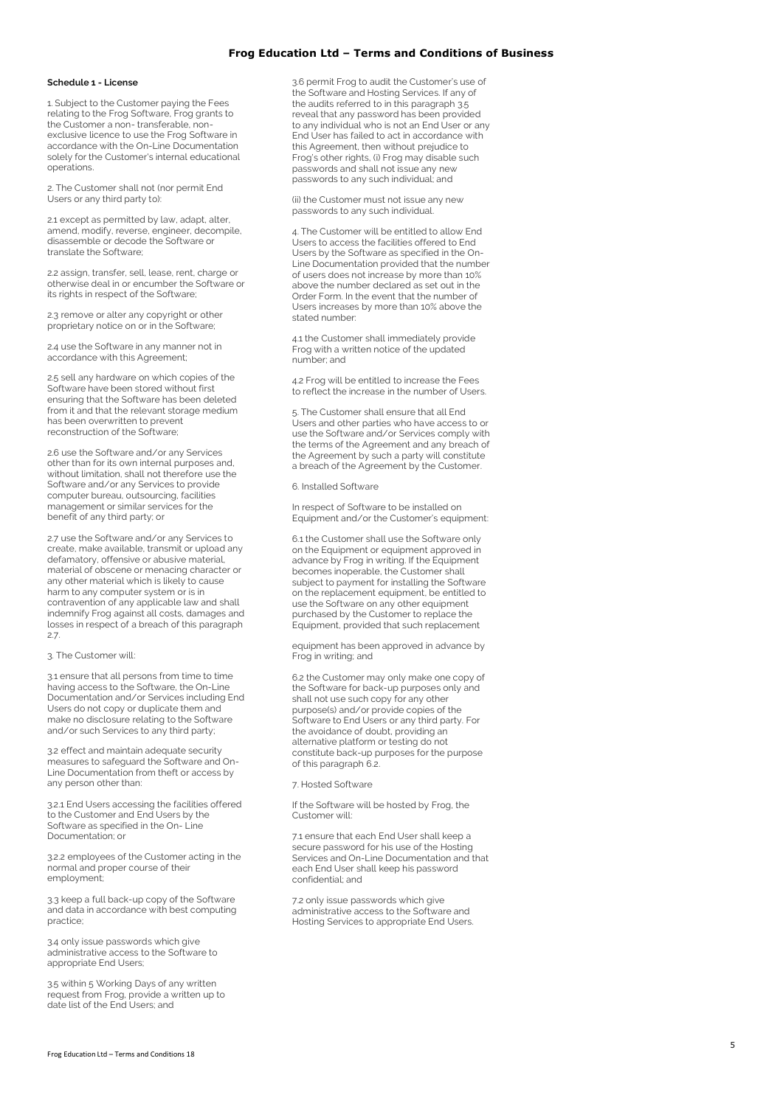#### **Schedule 1 - License**

1. Subject to the Customer paying the Fees relating to the Frog Software, Frog grants to the Customer a non-transferable, nonexclusive licence to use the Frog Software in accordance with the On -Line Documentation solely for the Customer's internal educational operations.

2. The Customer shall not (nor permit End Users or any third party to):

2.1 except as permitted by law, adapt, alter, amend, modify, reverse, engineer, decompile, disassemble or decode the Software or translate the Software;

2.2 assign, transfer, sell, lease, rent, charge or otherwise deal in or encumber the Software or its rights in respect of the Software;

2.3 remove or alter any copyright or other proprietary notice on or in the Software;

2.4 use the Software in any manner not in accordance with this Agreement;

2.5 sell any hardware on which copies of the Software have been stored without first ensuring that the Software has been deleted from it and that the relevant storage medium has been overwritten to prevent reconstruction of the Software;

2.6 use the Software and/or any Services other than for its own internal purposes and, without limitation, shall not therefore use the Software and/or any Services to provide computer bureau, outsourcing, facilities management or similar services for the benefit of any third party; or

2.7 use the Software and/or any Services to create, make available, transmit or upload any defamatory, offensive or abusive material, material of obscene or menacing character or any other material which is likely to cause harm to any computer system or is in contravention of any applicable law and shall indemnify Frog against all costs, damages and losses in respect of a breach of this paragraph 2.7.

#### 3. The Customer will:

3.1 ensure that all persons from time to time having access to the Software, the On -Line Documentation and/or Services including End Users do not copy or duplicate them and make no disclosure relating to the Software and/or such Services to any third party;

3.2 effect and maintain adequate security measures to safeguard the Software and On - Line Documentation from theft or access by any person other than:

3.2.1 End Users accessing the facilities offered to the Customer and End Users by the Software as specified in the On - Line Documentation; or

3.2.2 employees of the Customer acting in the normal and proper course of their employment;

3.3 keep a full back -up copy of the Software and data in accordance with best computing practice;

3.4 only issue passwords which give administrative access to the Software to appropriate End Users;

3.5 within 5 Working Days of any written request from Frog, provide a written up to date list of the End Users; and

3.6 permit Frog to audit the Customer's use of the Software and Hosting Services. If any of the audits referred to in this paragraph 3.5 reveal that any password has been provided to any individual who is not an End User or any End User has failed to act in accordance with this Agreement, then without prejudice to Frog's other rights, (i) Frog may disable such passwords and shall not issue any new passwords to any such individual; and

(ii) the Customer must not issue any new passwords to any such individual.

4. The Customer will be entitled to allow End Users to access the facilities offered to End Users by the Software as specified in the On - Line Documentation provided that the number of users does not increase by more than 10% above the number declared as set out in the Order Form. In the event that the number of Users increases by more than 10% above the stated number:

4.1 the Customer shall immediately provide Frog with a written notice of the updated number; and

4.2 Frog will be entitled to increase the Fees to reflect the increase in the number of Users.

5. The Customer shall ensure that all End Users and other parties who have access to or use the Software and/or Services comply with the terms of the Agreement and any breach of the Agreement by such a party will constitute a breach of the Agreement by the Customer.

6. Installed Software

In respect of Software to be installed on Equipment and/or the Customer's equipment:

6.1 the Customer shall use the Software only on the Equipment or equipment approved in advance by Frog in writing. If the Equipment becomes inoperable, the Customer shall subject to payment for installing the Software on the replacement equipment, be entitled to use the Software on any other equipment purchased by the Customer to replace the Equipment, provided that such replacement

equipment has been approved in advance by Frog in writing; and

6.2 the Customer may only make one copy of the Software for back -up purposes only and shall not use such copy for any other purpose(s) and/or provide copies of the Software to End Users or any third party. For the avoidance of doubt, providing an alternative platform or testing do not constitute back -up purposes for the purpose of this paragraph 6.2.

7. Hosted Software

If the Software will be hosted by Frog, the Customer will:

7.1 ensure that each End User shall keep a secure password for his use of the Hosting Services and On -Line Documentation and that each End User shall keep his password confidential; and

7.2 only issue passwords which give administrative access to the Software and Hosting Services to appropriate End Users.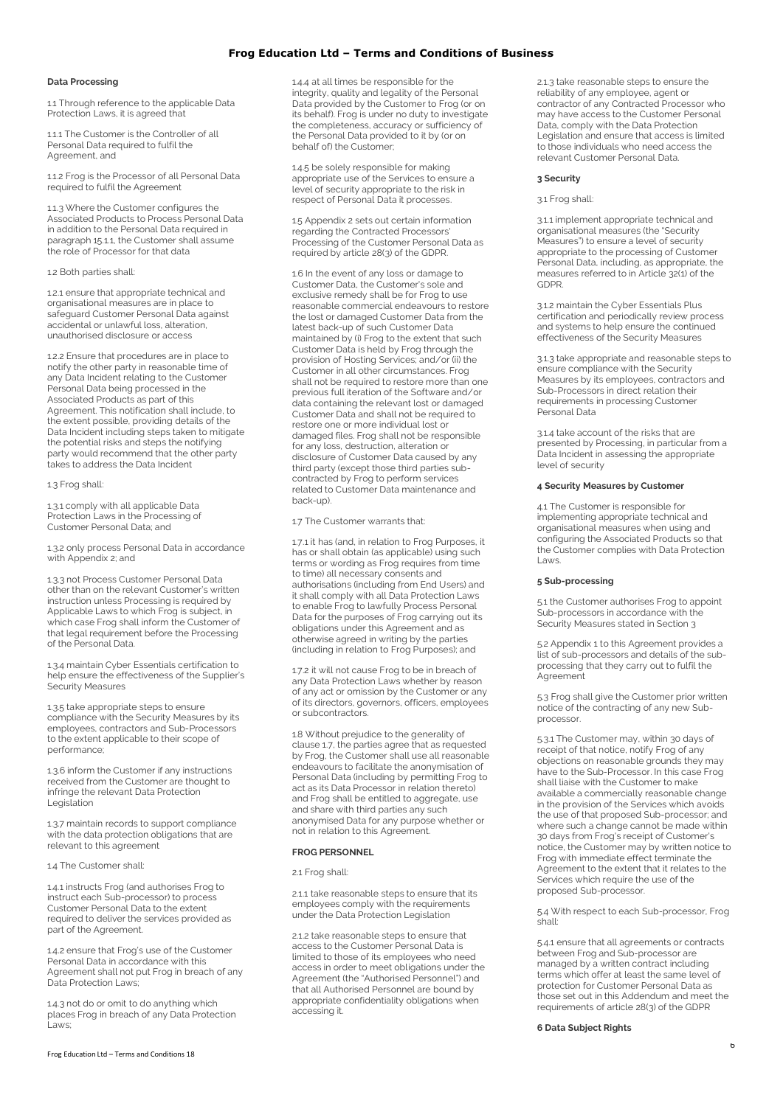### **Data Processing**

1.1 Through reference to the applicable Data Protection Laws, it is agreed that

1.1.1 The Customer is the Controller of all Personal Data required to fulfil the Agreement, and

1.1.2 Frog is the Processor of all Personal Data required to fulfil the Agreement

1.1.3 Where the Customer configures the Associated Products to Process Personal Data in addition to the Personal Data required in paragraph 15.1.1, the Customer shall assume the role of Processor for that data

#### 1.2 Both parties shall:

1.2.1 ensure that appropriate technical and organisational measures are in place to safeguard Customer Personal Data against accidental or unlawful loss, alteration, unauthorised disclosure or access

1.2.2 Ensure that procedures are in place to notify the other party in reasonable time of any Data Incident relating to the Customer Personal Data being processed in the Associated Products as part of this Agreement. This notification shall include, to the extent possible, providing details of the Data Incident including steps taken to mitigate the potential risks and steps the notifying party would recommend that the other party takes to address the Data Incident

#### 1.3 Frog shall:

1.3.1 comply with all applicable Data Protection Laws in the Processing of Customer Personal Data; and

1.3.2 only process Personal Data in accordance with Appendix 2; and

1.3.3 not Process Customer Personal Data other than on the relevant Customer's written instruction unless Processing is required by Applicable Laws to which Frog is subject, in which case Frog shall inform the Customer of that legal requirement before the Processing of the Personal Data.

1.3.4 maintain Cyber Essentials certification to help ensure the effectiveness of the Supplier's Security Measures

1.3.5 take appropriate steps to ensure compliance with the Security Measures by its employees, contractors and Sub-Processors to the extent applicable to their scope of performance;

1.3.6 inform the Customer if any instructions received from the Customer are thought to infringe the relevant Data Protection Legislation

1.3.7 maintain records to support compliance with the data protection obligations that are relevant to this agreement

#### 1.4 The Customer shall:

1.4.1 instructs Frog (and authorises Frog to instruct each Sub-processor) to process Customer Personal Data to the extent required to deliver the services provided as part of the Agreement.

1.4.2 ensure that Frog's use of the Customer Personal Data in accordance with this Agreement shall not put Frog in breach of any Data Protection Laws;

1.4.3 not do or omit to do anything which places Frog in breach of any Data Protection .<br>Laws:

1.4.4 at all times be responsible for the integrity, quality and legality of the Personal Data provided by the Customer to Frog (or on its behalf). Frog is under no duty to investigate the completeness, accuracy or sufficiency of the Personal Data provided to it by (or on behalf of) the Customer;

1.4.5 be solely responsible for making appropriate use of the Services to ensure a level of security appropriate to the risk in respect of Personal Data it processes.

1.5 Appendix 2 sets out certain information regarding the Contracted Processors' Processing of the Customer Personal Data as required by article 28(3) of the GDPR.

1.6 In the event of any loss or damage to Customer Data, the Customer's sole and exclusive remedy shall be for Frog to use reasonable commercial endeavours to restore the lost or damaged Customer Data from the latest back-up of such Customer Data maintained by (i) Frog to the extent that such Customer Data is held by Frog through the provision of Hosting Services; and/or (ii) the Customer in all other circumstances. Frog shall not be required to restore more than one previous full iteration of the Software and/or data containing the relevant lost or damaged Customer Data and shall not be required to restore one or more individual lost or damaged files. Frog shall not be responsible for any loss, destruction, alteration or disclosure of Customer Data caused by any third party (except those third parties subcontracted by Frog to perform services related to Customer Data maintenance and back-up).

1.7 The Customer warrants that:

1.7.1 it has (and, in relation to Frog Purposes, it has or shall obtain (as applicable) using such terms or wording as Frog requires from time to time) all necessary consents and authorisations (including from End Users) and it shall comply with all Data Protection Laws to enable Frog to lawfully Process Personal Data for the purposes of Frog carrying out its obligations under this Agreement and as otherwise agreed in writing by the parties (including in relation to Frog Purposes); and

1.7.2 it will not cause Frog to be in breach of any Data Protection Laws whether by reason of any act or omission by the Customer or any of its directors, governors, officers, employees or subcontractors.

1.8 Without prejudice to the generality of clause 1.7, the parties agree that as requested by Frog, the Customer shall use all reasonable endeavours to facilitate the anonymisation of Personal Data (including by permitting Frog to act as its Data Processor in relation thereto) and Frog shall be entitled to aggregate, use and share with third parties any such anonymised Data for any purpose whether or not in relation to this Agreement.

#### **FROG PERSONNEL**

#### 2.1 Frog shall:

211 take reasonable steps to ensure that its employees comply with the requirements under the Data Protection Legislation

2.1.2 take reasonable steps to ensure that access to the Customer Personal Data is limited to those of its employees who need access in order to meet obligations under the Agreement (the "Authorised Personnel") and that all Authorised Personnel are bound by appropriate confidentiality obligations when accessing it.

2.1.3 take reasonable steps to ensure the reliability of any employee, agent or contractor of any Contracted Processor who may have access to the Customer Personal Data, comply with the Data Protection Legislation and ensure that access is limited to those individuals who need access the relevant Customer Personal Data.

#### **3 Security**

#### 3.1 Frog shall:

3.1.1 implement appropriate technical and organisational measures (the "Security Measures") to ensure a level of security appropriate to the processing of Customer Personal Data, including, as appropriate, the measures referred to in Article 32(1) of the GDPR.

3.1.2 maintain the Cyber Essentials Plus certification and periodically review process and systems to help ensure the continued effectiveness of the Security Measures

3.1.3 take appropriate and reasonable steps to ensure compliance with the Security Measures by its employees, contractors and Sub-Processors in direct relation their requirements in processing Customer Personal Data

3.1.4 take account of the risks that are presented by Processing, in particular from a Data Incident in assessing the appropriate level of security

### **4 Security Measures by Customer**

4.1 The Customer is responsible for implementing appropriate technical and organisational measures when using and configuring the Associated Products so that the Customer complies with Data Protection Laws.

#### **5 Sub-processing**

5.1 the Customer authorises Frog to appoint Sub-processors in accordance with the Security Measures stated in Section 3

5.2 Appendix 1 to this Agreement provides a list of sub-processors and details of the subprocessing that they carry out to fulfil the Agreement

5.3 Frog shall give the Customer prior written notice of the contracting of any new Subprocessor.

5.3.1 The Customer may, within 30 days of receipt of that notice, notify Frog of any objections on reasonable grounds they may have to the Sub-Processor. In this case Frog shall liaise with the Customer to make available a commercially reasonable change in the provision of the Services which avoids the use of that proposed Sub-processor; and where such a change cannot be made within 30 days from Frog's receipt of Customer's notice, the Customer may by written notice to Frog with immediate effect terminate the Agreement to the extent that it relates to the Services which require the use of the proposed Sub-processor.

5.4 With respect to each Sub-processor, Frog shall:

5.4.1 ensure that all agreements or contracts between Frog and Sub-processor are managed by a written contract including terms which offer at least the same level of protection for Customer Personal Data as those set out in this Addendum and meet the requirements of article 28(3) of the GDPR

**6 Data Subject Rights**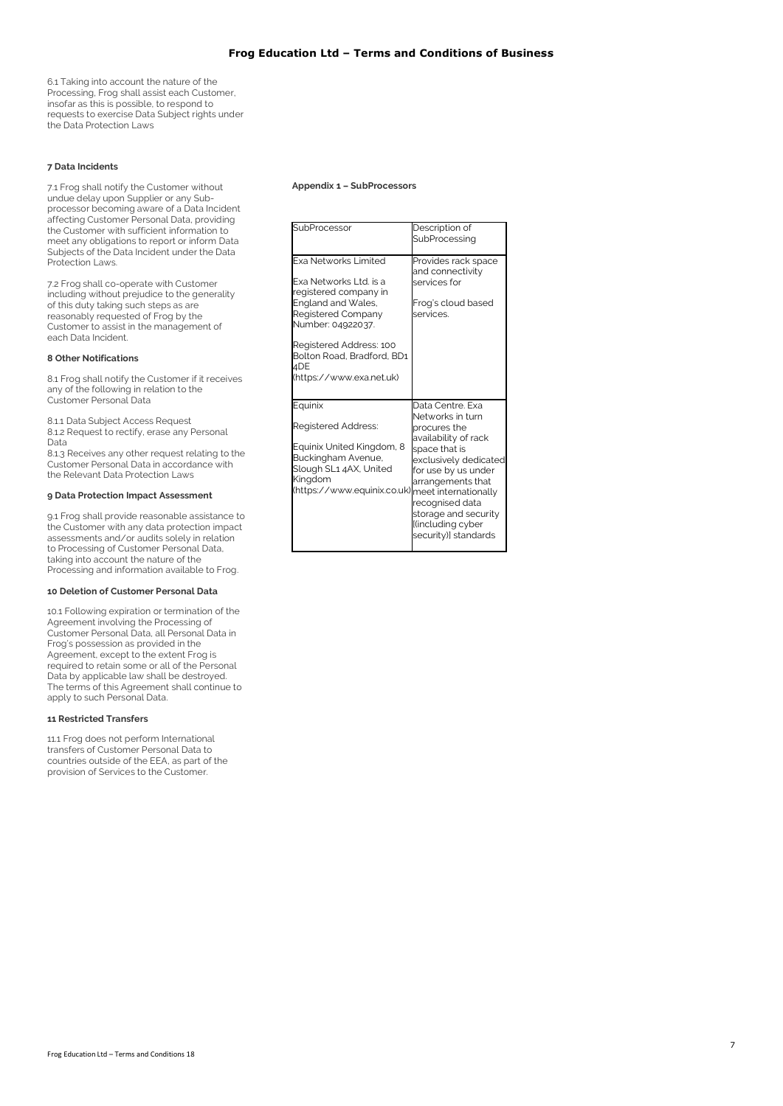6.1 Taking into account the nature of the Processing, Frog shall assist each Customer, insofar as this is possible, to respond to requests to exercise Data Subject rights under the Data Protection Laws

## **7 Data Incidents**

7.1 Frog shall notify the Customer without undue delay upon Supplier or any Subprocessor becoming aware of a Data Incident affecting Customer Personal Data, providing the Customer with sufficient information to meet any obligations to report or inform Data Subjects of the Data Incident under the Data Protection Laws.

7.2 Frog shall co-operate with Customer including without prejudice to the generality of this duty taking such steps as are reasonably requested of Frog by the Customer to assist in the management of each Data Incident.

#### **8 Other Notifications**

8.1 Frog shall notify the Customer if it receives any of the following in relation to the Customer Personal Data

8.1.1 Data Subject Access Request 8.1.2 Request to rectify, erase any Personal Data

8.1.3 Receives any other request relating to the Customer Personal Data in accordance with the Relevant Data Protection Laws

#### **9 Data Protection Impact Assessment**

9.1 Frog shall provide reasonable assistance to the Customer with any data protection impact assessments and/or audits solely in relation to Processing of Customer Personal Data, taking into account the nature of the Processing and information available to Frog.

### **10 Deletion of Customer Personal Data**

10.1 Following expiration or termination of the Agreement involving the Processing of Customer Personal Data, all Personal Data in Frog's possession as provided in the Agreement, except to the extent Frog is required to retain some or all of the Personal Data by applicable law shall be destroyed. The terms of this Agreement shall continue to apply to such Personal Data.

### **11 Restricted Transfers**

11.1 Frog does not perform International transfers of Customer Personal Data to countries outside of the EEA, as part of the provision of Services to the Customer.

#### **Appendix 1 – SubProcessors**

| SubProcessor                                                                                                                                                                                                                                | Description of<br>SubProcessing                                                                                                                                                                                                                            |
|---------------------------------------------------------------------------------------------------------------------------------------------------------------------------------------------------------------------------------------------|------------------------------------------------------------------------------------------------------------------------------------------------------------------------------------------------------------------------------------------------------------|
| <b>Exa Networks Limited</b><br>Exa Networks Ltd. is a<br>registered company in<br>England and Wales,<br>Registered Company<br>Number: 04922037.<br>Registered Address: 100<br>Bolton Road, Bradford, BD1<br>4DE<br>(https://www.exa.net.uk) | Provides rack space<br>and connectivity<br>services for<br>Frog's cloud based<br>services.                                                                                                                                                                 |
| Equinix<br>Registered Address:<br>Equinix United Kingdom, 8<br>Buckingham Avenue,<br>Slough SL1 4AX, United<br>Kingdom<br>(https://www.equinix.co.uk) meet internationally                                                                  | Data Centre, Exa<br>Networks in turn<br>procures the<br>availability of rack<br>space that is<br>exclusively dedicated<br>for use by us under<br>arrangements that<br>recognised data<br>storage and security<br>l(including cyber<br>security)] standards |